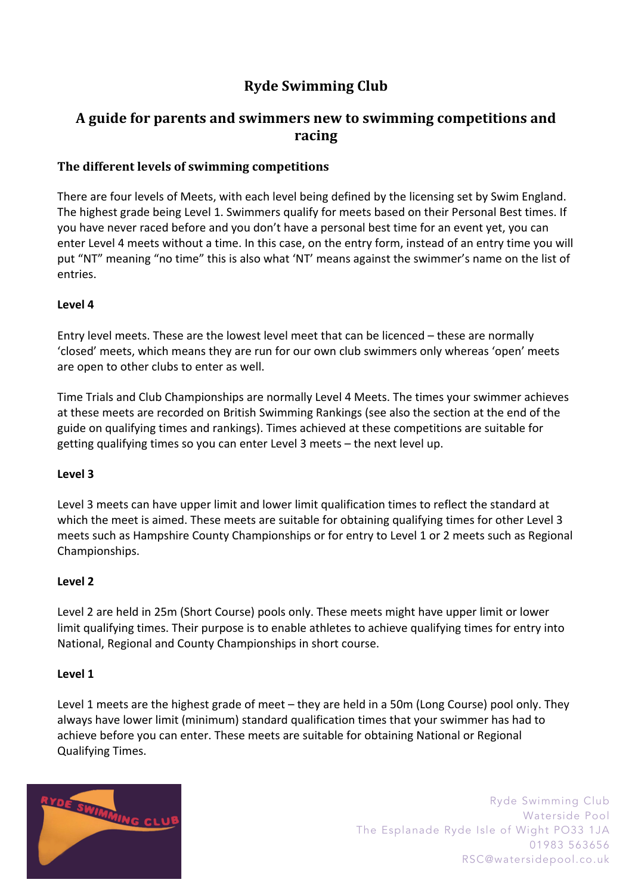# **Ryde Swimming Club**

## A guide for parents and swimmers new to swimming competitions and **racing**

## **The different levels of swimming competitions**

There are four levels of Meets, with each level being defined by the licensing set by Swim England. The highest grade being Level 1. Swimmers qualify for meets based on their Personal Best times. If you have never raced before and you don't have a personal best time for an event yet, you can enter Level 4 meets without a time. In this case, on the entry form, instead of an entry time you will put "NT" meaning "no time" this is also what 'NT' means against the swimmer's name on the list of entries.

## **Level 4**

Entry level meets. These are the lowest level meet that can be licenced – these are normally 'closed' meets, which means they are run for our own club swimmers only whereas 'open' meets are open to other clubs to enter as well.

Time Trials and Club Championships are normally Level 4 Meets. The times your swimmer achieves at these meets are recorded on British Swimming Rankings (see also the section at the end of the guide on qualifying times and rankings). Times achieved at these competitions are suitable for getting qualifying times so you can enter Level 3 meets – the next level up.

## **Level 3**

Level 3 meets can have upper limit and lower limit qualification times to reflect the standard at which the meet is aimed. These meets are suitable for obtaining qualifying times for other Level 3 meets such as Hampshire County Championships or for entry to Level 1 or 2 meets such as Regional Championships.

## **Level 2**

Level 2 are held in 25m (Short Course) pools only. These meets might have upper limit or lower limit qualifying times. Their purpose is to enable athletes to achieve qualifying times for entry into National, Regional and County Championships in short course.

#### **Level 1**

Level 1 meets are the highest grade of meet – they are held in a 50m (Long Course) pool only. They always have lower limit (minimum) standard qualification times that your swimmer has had to achieve before you can enter. These meets are suitable for obtaining National or Regional Qualifying Times.

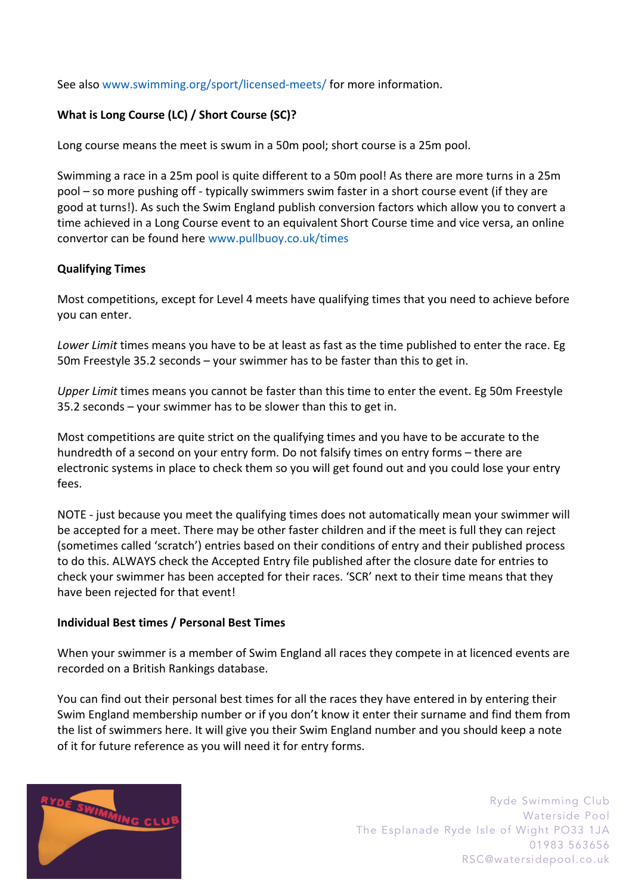See also www.swimming.org/sport/licensed-meets/ for more information.

## **What is Long Course (LC) / Short Course (SC)?**

Long course means the meet is swum in a 50m pool; short course is a 25m pool.

Swimming a race in a 25m pool is quite different to a 50m pool! As there are more turns in a 25m pool – so more pushing off - typically swimmers swim faster in a short course event (if they are good at turns!). As such the Swim England publish conversion factors which allow you to convert a time achieved in a Long Course event to an equivalent Short Course time and vice versa, an online convertor can be found here www.pullbuoy.co.uk/times

## **Qualifying Times**

Most competitions, except for Level 4 meets have qualifying times that you need to achieve before you can enter.

*Lower Limit* times means you have to be at least as fast as the time published to enter the race. Eg 50m Freestyle 35.2 seconds – your swimmer has to be faster than this to get in.

*Upper Limit* times means you cannot be faster than this time to enter the event. Eg 50m Freestyle 35.2 seconds – your swimmer has to be slower than this to get in.

Most competitions are quite strict on the qualifying times and you have to be accurate to the hundredth of a second on your entry form. Do not falsify times on entry forms – there are electronic systems in place to check them so you will get found out and you could lose your entry fees.

NOTE - just because you meet the qualifying times does not automatically mean your swimmer will be accepted for a meet. There may be other faster children and if the meet is full they can reject (sometimes called 'scratch') entries based on their conditions of entry and their published process to do this. ALWAYS check the Accepted Entry file published after the closure date for entries to check your swimmer has been accepted for their races. 'SCR' next to their time means that they have been rejected for that event!

#### **Individual Best times / Personal Best Times**

When your swimmer is a member of Swim England all races they compete in at licenced events are recorded on a British Rankings database.

You can find out their personal best times for all the races they have entered in by entering their Swim England membership number or if you don't know it enter their surname and find them from the list of swimmers here. It will give you their Swim England number and you should keep a note of it for future reference as you will need it for entry forms.

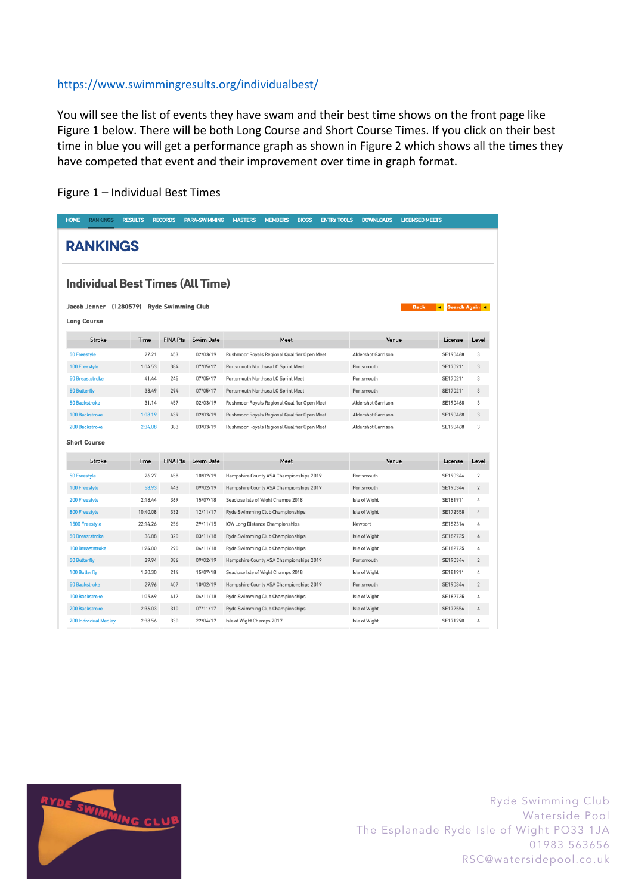#### https://www.swimmingresults.org/individualbest/

You will see the list of events they have swam and their best time shows on the front page like Figure 1 below. There will be both Long Course and Short Course Times. If you click on their best time in blue you will get a performance graph as shown in Figure 2 which shows all the times they have competed that event and their improvement over time in graph format.

| <b>HOME</b><br><b>RANKINGS</b> | <b>RESULTS</b>                                                                                          | <b>RECORDS</b>  | <b>PARA-SWIMMING</b> | <b>MASTERS</b><br><b>MEMBERS</b><br><b>BIOGS</b> | <b>ENTRY TOOLS</b><br><b>DOWNLOADS</b><br><b>LICENSED MEETS</b> |          |                |  |
|--------------------------------|---------------------------------------------------------------------------------------------------------|-----------------|----------------------|--------------------------------------------------|-----------------------------------------------------------------|----------|----------------|--|
| <b>RANKINGS</b>                |                                                                                                         |                 |                      |                                                  |                                                                 |          |                |  |
|                                | <b>Individual Best Times (All Time)</b>                                                                 |                 |                      |                                                  |                                                                 |          |                |  |
|                                | Jacob Jenner - (1280579) - Ryde Swimming Club<br><b>Search Again</b> 4<br><b>Back</b><br>$\blacksquare$ |                 |                      |                                                  |                                                                 |          |                |  |
| <b>Long Course</b>             |                                                                                                         |                 |                      |                                                  |                                                                 |          |                |  |
| <b>Stroke</b>                  | Time                                                                                                    | <b>FINA Pts</b> | <b>Swim Date</b>     | Meet                                             | Venue                                                           | License  | Level          |  |
| <b>50 Freestyle</b>            | 27.21                                                                                                   | 453             | 02/03/19             | Rushmoor Royals Regional Qualifier Open Meet     | Aldershot Garrison                                              | SE190468 | 3              |  |
| 100 Freestyle                  | 1:04.53                                                                                                 | 384             | 07/05/17             | Portsmouth Northsea LC Sprint Meet               | Portsmouth                                                      | SE170211 | 3              |  |
| <b>50 Breaststroke</b>         | 41.44                                                                                                   | 245             | 07/05/17             | Portsmouth Northsea LC Sprint Meet               | Portsmouth                                                      | SE170211 | 3              |  |
| <b>50 Butterfly</b>            | 33.49                                                                                                   | 294             | 07/05/17             | Portsmouth Northsea LC Sprint Meet               | Portsmouth                                                      | SE170211 | 3              |  |
| <b>50 Backstroke</b>           | 31.14                                                                                                   | 457             | 02/03/19             | Rushmoor Royals Regional Qualifier Open Meet     | Aldershot Garrison                                              | SE190468 | 3              |  |
| <b>100 Backstroke</b>          | 1:08.19                                                                                                 | 439             | 02/03/19             | Rushmoor Royals Regional Qualifier Open Meet     | Aldershot Garrison                                              | SE190468 | 3              |  |
| 200 Backstroke                 | 2:34.08                                                                                                 | 383             | 03/03/19             | Rushmoor Royals Regional Qualifier Open Meet     | Aldershot Garrison                                              | SE190468 | 3              |  |
| <b>Short Course</b>            |                                                                                                         |                 |                      |                                                  |                                                                 |          |                |  |
| Stroke                         | Time                                                                                                    | <b>FINA Pts</b> | <b>Swim Date</b>     | Meet                                             | Venue                                                           | License  | Level          |  |
| <b>50 Freestyle</b>            | 26.27                                                                                                   | 458             | 10/02/19             | Hampshire County ASA Championships 2019          | Portsmouth                                                      | SE190344 | $\overline{2}$ |  |
| 100 Freestyle                  | 58.93                                                                                                   | 443             | 09/02/19             | Hampshire County ASA Championships 2019          | Portsmouth                                                      | SE190344 | $\sqrt{2}$     |  |
| 200 Freestyle                  | 2:18.44                                                                                                 | 369             | 15/07/18             | Seaclose Isle of Wight Champs 2018               | Isle of Wight                                                   | SE181911 | 4              |  |
| <b>800 Freestyle</b>           | 10:40.08                                                                                                | 332             | 12/11/17             | Ryde Swimming Club Championships                 | Isle of Wight                                                   | SE172558 | 4              |  |
| 1500 Freestyle                 | 22:14.26                                                                                                | 256             | 29/11/15             | IOW Long Distance Championships                  | Newport                                                         | SE152314 | 4              |  |
| <b>50 Breaststroke</b>         | 36.88                                                                                                   | 320             | 03/11/18             | Ryde Swimming Club Championships                 | Isle of Wight                                                   | SE182725 | 4              |  |
| 100 Breaststroke               | 1:24.00                                                                                                 | 290             | 04/11/18             | Ryde Swimming Club Championships                 | Isle of Wight                                                   | SE182725 | 4              |  |
| <b>50 Butterfly</b>            | 29.94                                                                                                   | 386             | 09/02/19             | Hampshire County ASA Championships 2019          | Portsmouth                                                      | SE190344 | $\sqrt{2}$     |  |
| <b>100 Butterfly</b>           | 1:20.30                                                                                                 | 214             | 15/07/18             | Seaclose Isle of Wight Champs 2018               | Isle of Wight                                                   | SE181911 | 4              |  |
| <b>50 Backstroke</b>           | 29.96                                                                                                   | 407             | 10/02/19             | Hampshire County ASA Championships 2019          | Portsmouth                                                      | SE190344 | $\overline{2}$ |  |
| <b>100 Backstroke</b>          | 1:05.69                                                                                                 | 412             | 04/11/18             | Ryde Swimming Club Championships                 | Isle of Wight                                                   | SE182725 | 4              |  |
| <b>200 Backstroke</b>          | 2:36.03                                                                                                 | 310             | 07/11/17             | Ryde Swimming Club Championships                 | Isle of Wight                                                   | SE172556 | 4              |  |
| <b>200 Individual Medley</b>   | 2:38.56                                                                                                 | 330             | 22/04/17             | Isle of Wight Champs 2017                        | Isle of Wight                                                   | SE171290 | 4              |  |

#### Figure 1 – Individual Best Times

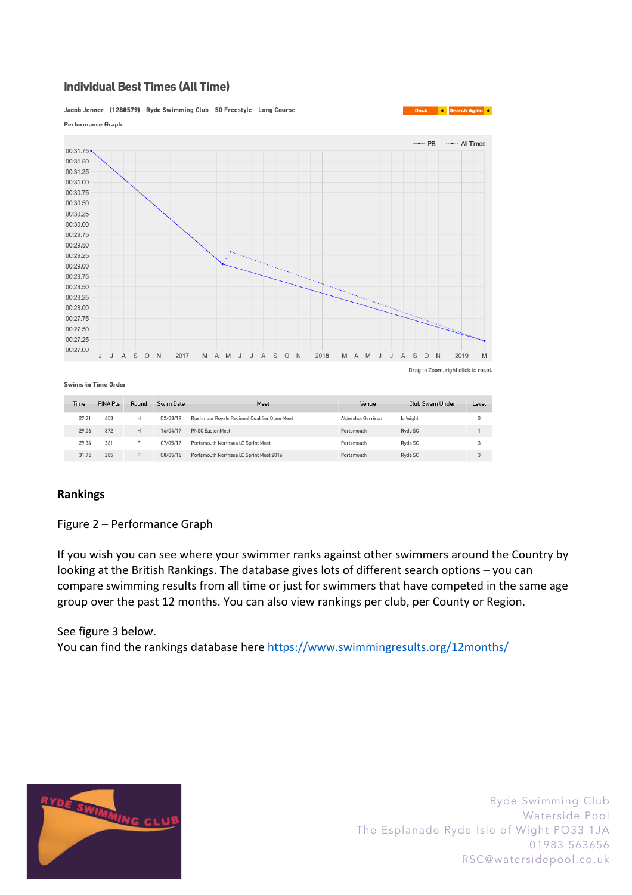## **Individual Best Times (All Time)**

Jacob Jenner - (1280579) - Ryde Swimming Club - 50 Freestyle - Long Course



Swims in Time Order

|              | Time  | <b>FINA Pts</b> | Round    | Swim Date                               | Meet                                         | Venue              | Club Swam Under | Level |
|--------------|-------|-----------------|----------|-----------------------------------------|----------------------------------------------|--------------------|-----------------|-------|
|              | 27.21 | 453             | н        | 02/03/19                                | Rushmoor Royals Regional Qualifier Open Meet | Aldershot Garrison | lo Wight        |       |
|              | 29.06 | 372             | н        | 16/04/17                                | <b>PNSC Easter Meet</b>                      | Portsmouth         | Ryde SC         |       |
|              | 29.34 | 361             | п        | 07/05/17                                | Portsmouth Northsea LC Sprint Meet           | Portsmouth         | Ryde SC         |       |
| 285<br>31.75 |       | Е               | 08/05/16 | Portsmouth Northsea LC Sprint Meet 2016 | Portsmouth                                   | Ryde SC            |                 |       |

#### **Rankings**

Figure 2 – Performance Graph

If you wish you can see where your swimmer ranks against other swimmers around the Country by looking at the British Rankings. The database gives lots of different search options – you can compare swimming results from all time or just for swimmers that have competed in the same age group over the past 12 months. You can also view rankings per club, per County or Region.

See figure 3 below. You can find the rankings database here https://www.swimmingresults.org/12months/



Ryde Swimming Club Waterside Pool The Esplanade Ryde Isle of Wight PO33 1JA 01983 563656 RSC@watersidepool.co.uk

Search Again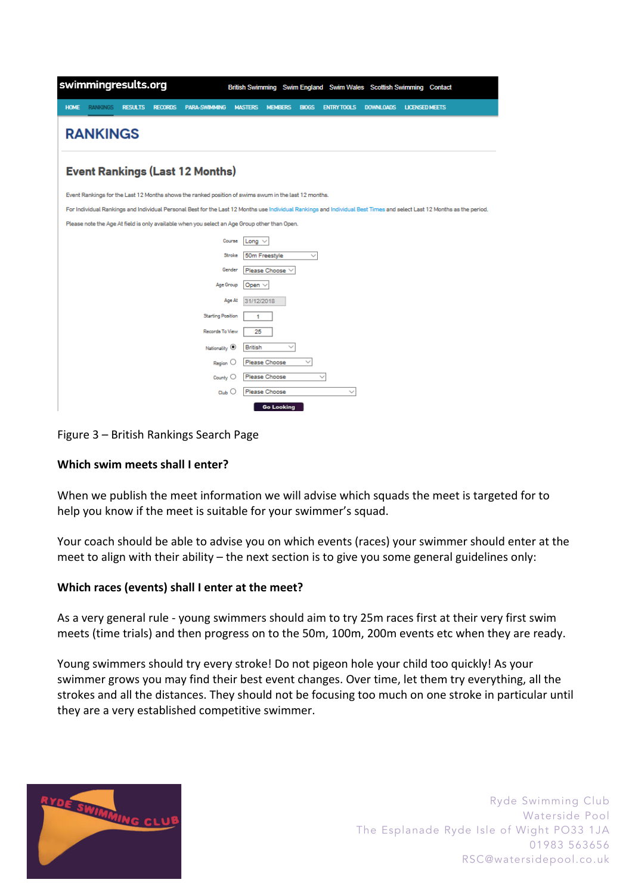| swimmingresults.org                                                                                                                                                    | British Swimming Swim England Swim Wales Scottish Swimming Contact                                                  |  |  |  |  |
|------------------------------------------------------------------------------------------------------------------------------------------------------------------------|---------------------------------------------------------------------------------------------------------------------|--|--|--|--|
| <b>RANKINGS</b><br><b>PARA-SWIMMING</b><br><b>HOME</b><br><b>RESULTS</b><br><b>RECORDS</b>                                                                             | <b>DOWNLOADS</b><br><b>MASTERS</b><br><b>MEMBERS</b><br><b>BIOGS</b><br><b>ENTRY TOOLS</b><br><b>LICENSED MEETS</b> |  |  |  |  |
| <b>RANKINGS</b>                                                                                                                                                        |                                                                                                                     |  |  |  |  |
| <b>Event Rankings (Last 12 Months)</b>                                                                                                                                 |                                                                                                                     |  |  |  |  |
| Event Rankings for the Last 12 Months shows the ranked position of swims swum in the last 12 months.                                                                   |                                                                                                                     |  |  |  |  |
| For Individual Rankings and Individual Personal Best for the Last 12 Months use Individual Rankings and Individual Best Times and select Last 12 Months as the period. |                                                                                                                     |  |  |  |  |
| Please note the Age At field is only available when you select an Age Group other than Open.                                                                           |                                                                                                                     |  |  |  |  |
|                                                                                                                                                                        | Course<br>Long $\vee$                                                                                               |  |  |  |  |
|                                                                                                                                                                        | 50m Freestyle<br>Stroke<br>$\checkmark$                                                                             |  |  |  |  |
|                                                                                                                                                                        | Please Choose $\vee$<br>Gender                                                                                      |  |  |  |  |
| Age Group                                                                                                                                                              | Open $\vee$                                                                                                         |  |  |  |  |
|                                                                                                                                                                        | Age At<br>31/12/2018                                                                                                |  |  |  |  |
| <b>Starting Position</b>                                                                                                                                               | 1                                                                                                                   |  |  |  |  |
| Records To View                                                                                                                                                        | 25                                                                                                                  |  |  |  |  |
| Nationality <sup>(0)</sup>                                                                                                                                             | <b>British</b><br>$\checkmark$                                                                                      |  |  |  |  |
| Region                                                                                                                                                                 | Please Choose                                                                                                       |  |  |  |  |
| County $\bigcirc$                                                                                                                                                      | Please Choose<br>$\sim$                                                                                             |  |  |  |  |
| $Q_{\text{tub}}$                                                                                                                                                       | Please Choose                                                                                                       |  |  |  |  |
|                                                                                                                                                                        | <b>Go Looking</b>                                                                                                   |  |  |  |  |

Figure 3 – British Rankings Search Page

## **Which swim meets shall I enter?**

When we publish the meet information we will advise which squads the meet is targeted for to help you know if the meet is suitable for your swimmer's squad.

Your coach should be able to advise you on which events (races) your swimmer should enter at the meet to align with their ability – the next section is to give you some general guidelines only:

#### **Which races (events) shall I enter at the meet?**

As a very general rule - young swimmers should aim to try 25m races first at their very first swim meets (time trials) and then progress on to the 50m, 100m, 200m events etc when they are ready.

Young swimmers should try every stroke! Do not pigeon hole your child too quickly! As your swimmer grows you may find their best event changes. Over time, let them try everything, all the strokes and all the distances. They should not be focusing too much on one stroke in particular until they are a very established competitive swimmer.

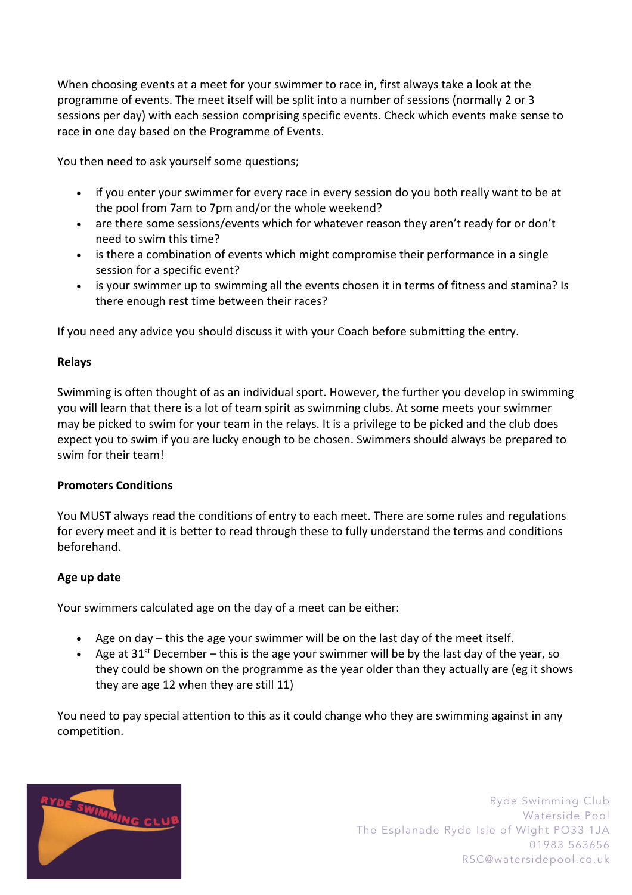When choosing events at a meet for your swimmer to race in, first always take a look at the programme of events. The meet itself will be split into a number of sessions (normally 2 or 3 sessions per day) with each session comprising specific events. Check which events make sense to race in one day based on the Programme of Events.

You then need to ask yourself some questions;

- if you enter your swimmer for every race in every session do you both really want to be at the pool from 7am to 7pm and/or the whole weekend?
- are there some sessions/events which for whatever reason they aren't ready for or don't need to swim this time?
- is there a combination of events which might compromise their performance in a single session for a specific event?
- is your swimmer up to swimming all the events chosen it in terms of fitness and stamina? Is there enough rest time between their races?

If you need any advice you should discuss it with your Coach before submitting the entry.

## **Relays**

Swimming is often thought of as an individual sport. However, the further you develop in swimming you will learn that there is a lot of team spirit as swimming clubs. At some meets your swimmer may be picked to swim for your team in the relays. It is a privilege to be picked and the club does expect you to swim if you are lucky enough to be chosen. Swimmers should always be prepared to swim for their team!

#### **Promoters Conditions**

You MUST always read the conditions of entry to each meet. There are some rules and regulations for every meet and it is better to read through these to fully understand the terms and conditions beforehand.

#### **Age up date**

Your swimmers calculated age on the day of a meet can be either:

- Age on day this the age your swimmer will be on the last day of the meet itself.
- Age at 31<sup>st</sup> December this is the age your swimmer will be by the last day of the year, so they could be shown on the programme as the year older than they actually are (eg it shows they are age 12 when they are still 11)

You need to pay special attention to this as it could change who they are swimming against in any competition.

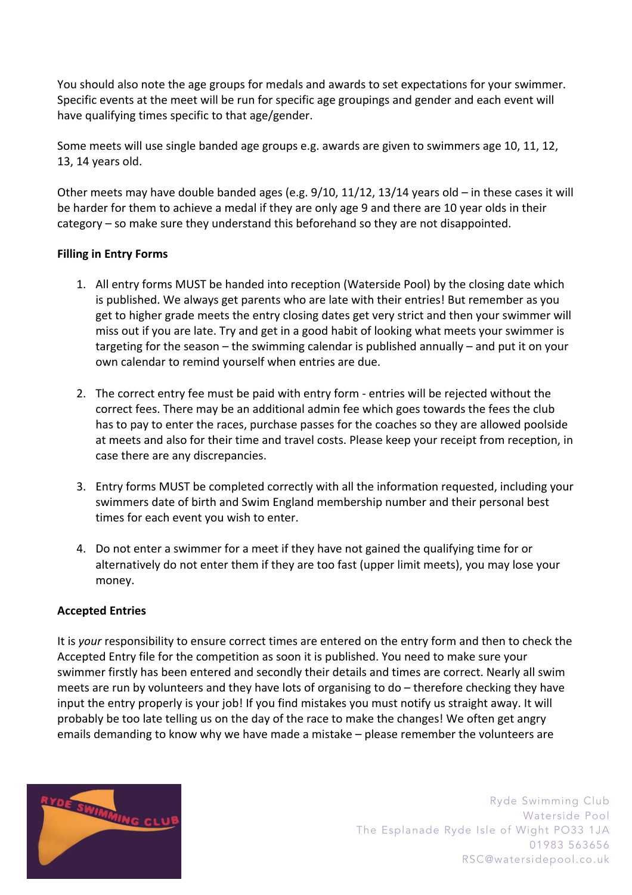You should also note the age groups for medals and awards to set expectations for your swimmer. Specific events at the meet will be run for specific age groupings and gender and each event will have qualifying times specific to that age/gender.

Some meets will use single banded age groups e.g. awards are given to swimmers age 10, 11, 12, 13, 14 years old.

Other meets may have double banded ages (e.g. 9/10, 11/12, 13/14 years old – in these cases it will be harder for them to achieve a medal if they are only age 9 and there are 10 year olds in their category – so make sure they understand this beforehand so they are not disappointed.

## **Filling in Entry Forms**

- 1. All entry forms MUST be handed into reception (Waterside Pool) by the closing date which is published. We always get parents who are late with their entries! But remember as you get to higher grade meets the entry closing dates get very strict and then your swimmer will miss out if you are late. Try and get in a good habit of looking what meets your swimmer is targeting for the season – the swimming calendar is published annually – and put it on your own calendar to remind yourself when entries are due.
- 2. The correct entry fee must be paid with entry form entries will be rejected without the correct fees. There may be an additional admin fee which goes towards the fees the club has to pay to enter the races, purchase passes for the coaches so they are allowed poolside at meets and also for their time and travel costs. Please keep your receipt from reception, in case there are any discrepancies.
- 3. Entry forms MUST be completed correctly with all the information requested, including your swimmers date of birth and Swim England membership number and their personal best times for each event you wish to enter.
- 4. Do not enter a swimmer for a meet if they have not gained the qualifying time for or alternatively do not enter them if they are too fast (upper limit meets), you may lose your money.

#### **Accepted Entries**

It is *your* responsibility to ensure correct times are entered on the entry form and then to check the Accepted Entry file for the competition as soon it is published. You need to make sure your swimmer firstly has been entered and secondly their details and times are correct. Nearly all swim meets are run by volunteers and they have lots of organising to do – therefore checking they have input the entry properly is your job! If you find mistakes you must notify us straight away. It will probably be too late telling us on the day of the race to make the changes! We often get angry emails demanding to know why we have made a mistake – please remember the volunteers are

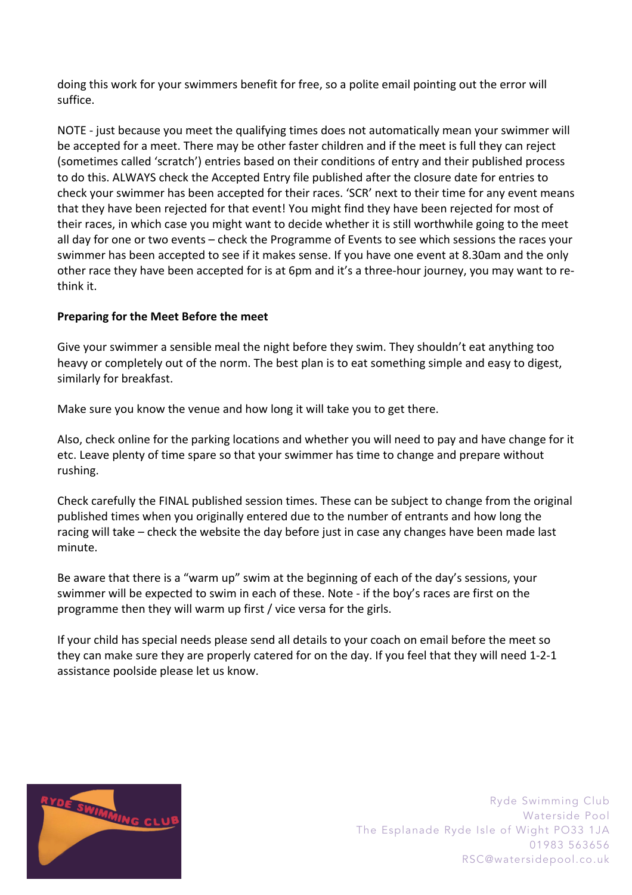doing this work for your swimmers benefit for free, so a polite email pointing out the error will suffice.

NOTE - just because you meet the qualifying times does not automatically mean your swimmer will be accepted for a meet. There may be other faster children and if the meet is full they can reject (sometimes called 'scratch') entries based on their conditions of entry and their published process to do this. ALWAYS check the Accepted Entry file published after the closure date for entries to check your swimmer has been accepted for their races. 'SCR' next to their time for any event means that they have been rejected for that event! You might find they have been rejected for most of their races, in which case you might want to decide whether it is still worthwhile going to the meet all day for one or two events – check the Programme of Events to see which sessions the races your swimmer has been accepted to see if it makes sense. If you have one event at 8.30am and the only other race they have been accepted for is at 6pm and it's a three-hour journey, you may want to rethink it.

## **Preparing for the Meet Before the meet**

Give your swimmer a sensible meal the night before they swim. They shouldn't eat anything too heavy or completely out of the norm. The best plan is to eat something simple and easy to digest, similarly for breakfast.

Make sure you know the venue and how long it will take you to get there.

Also, check online for the parking locations and whether you will need to pay and have change for it etc. Leave plenty of time spare so that your swimmer has time to change and prepare without rushing.

Check carefully the FINAL published session times. These can be subject to change from the original published times when you originally entered due to the number of entrants and how long the racing will take – check the website the day before just in case any changes have been made last minute.

Be aware that there is a "warm up" swim at the beginning of each of the day's sessions, your swimmer will be expected to swim in each of these. Note - if the boy's races are first on the programme then they will warm up first / vice versa for the girls.

If your child has special needs please send all details to your coach on email before the meet so they can make sure they are properly catered for on the day. If you feel that they will need 1-2-1 assistance poolside please let us know.

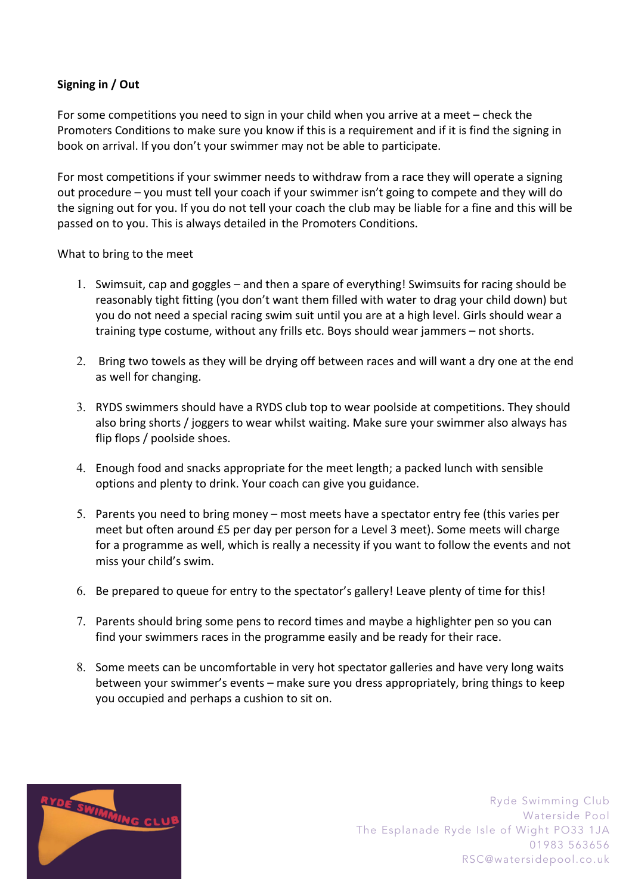## **Signing in / Out**

For some competitions you need to sign in your child when you arrive at a meet – check the Promoters Conditions to make sure you know if this is a requirement and if it is find the signing in book on arrival. If you don't your swimmer may not be able to participate.

For most competitions if your swimmer needs to withdraw from a race they will operate a signing out procedure – you must tell your coach if your swimmer isn't going to compete and they will do the signing out for you. If you do not tell your coach the club may be liable for a fine and this will be passed on to you. This is always detailed in the Promoters Conditions.

What to bring to the meet

- 1. Swimsuit, cap and goggles and then a spare of everything! Swimsuits for racing should be reasonably tight fitting (you don't want them filled with water to drag your child down) but you do not need a special racing swim suit until you are at a high level. Girls should wear a training type costume, without any frills etc. Boys should wear jammers – not shorts.
- 2. Bring two towels as they will be drying off between races and will want a dry one at the end as well for changing.
- 3. RYDS swimmers should have a RYDS club top to wear poolside at competitions. They should also bring shorts / joggers to wear whilst waiting. Make sure your swimmer also always has flip flops / poolside shoes.
- 4. Enough food and snacks appropriate for the meet length; a packed lunch with sensible options and plenty to drink. Your coach can give you guidance.
- 5. Parents you need to bring money most meets have a spectator entry fee (this varies per meet but often around £5 per day per person for a Level 3 meet). Some meets will charge for a programme as well, which is really a necessity if you want to follow the events and not miss your child's swim.
- 6. Be prepared to queue for entry to the spectator's gallery! Leave plenty of time for this!
- 7. Parents should bring some pens to record times and maybe a highlighter pen so you can find your swimmers races in the programme easily and be ready for their race.
- 8. Some meets can be uncomfortable in very hot spectator galleries and have very long waits between your swimmer's events – make sure you dress appropriately, bring things to keep you occupied and perhaps a cushion to sit on.

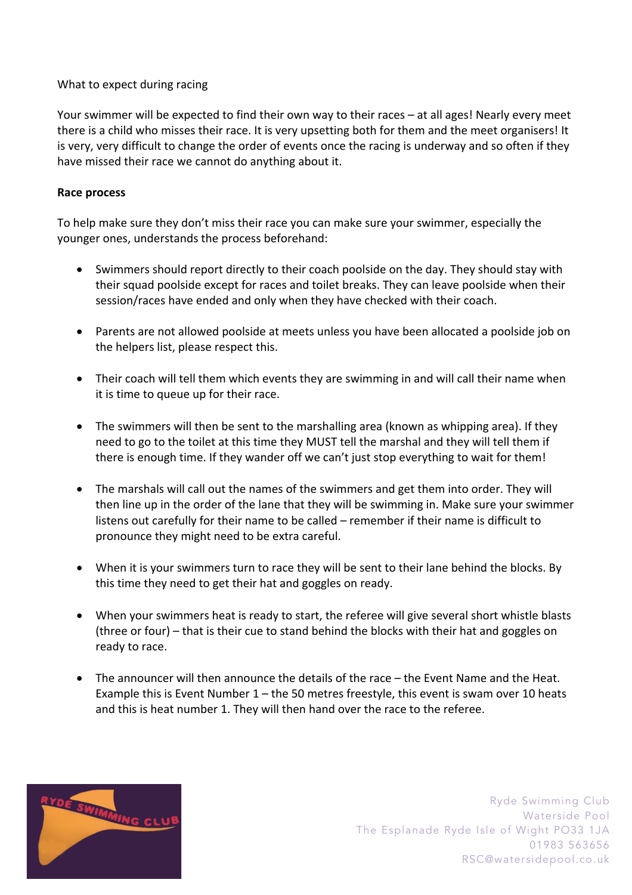## What to expect during racing

Your swimmer will be expected to find their own way to their races – at all ages! Nearly every meet there is a child who misses their race. It is very upsetting both for them and the meet organisers! It is very, very difficult to change the order of events once the racing is underway and so often if they have missed their race we cannot do anything about it.

#### **Race process**

To help make sure they don't miss their race you can make sure your swimmer, especially the younger ones, understands the process beforehand:

- Swimmers should report directly to their coach poolside on the day. They should stay with their squad poolside except for races and toilet breaks. They can leave poolside when their session/races have ended and only when they have checked with their coach.
- Parents are not allowed poolside at meets unless you have been allocated a poolside job on the helpers list, please respect this.
- Their coach will tell them which events they are swimming in and will call their name when it is time to queue up for their race.
- The swimmers will then be sent to the marshalling area (known as whipping area). If they need to go to the toilet at this time they MUST tell the marshal and they will tell them if there is enough time. If they wander off we can't just stop everything to wait for them!
- The marshals will call out the names of the swimmers and get them into order. They will then line up in the order of the lane that they will be swimming in. Make sure your swimmer listens out carefully for their name to be called – remember if their name is difficult to pronounce they might need to be extra careful.
- When it is your swimmers turn to race they will be sent to their lane behind the blocks. By this time they need to get their hat and goggles on ready.
- When your swimmers heat is ready to start, the referee will give several short whistle blasts (three or four) – that is their cue to stand behind the blocks with their hat and goggles on ready to race.
- The announcer will then announce the details of the race the Event Name and the Heat. Example this is Event Number 1 – the 50 metres freestyle, this event is swam over 10 heats and this is heat number 1. They will then hand over the race to the referee.

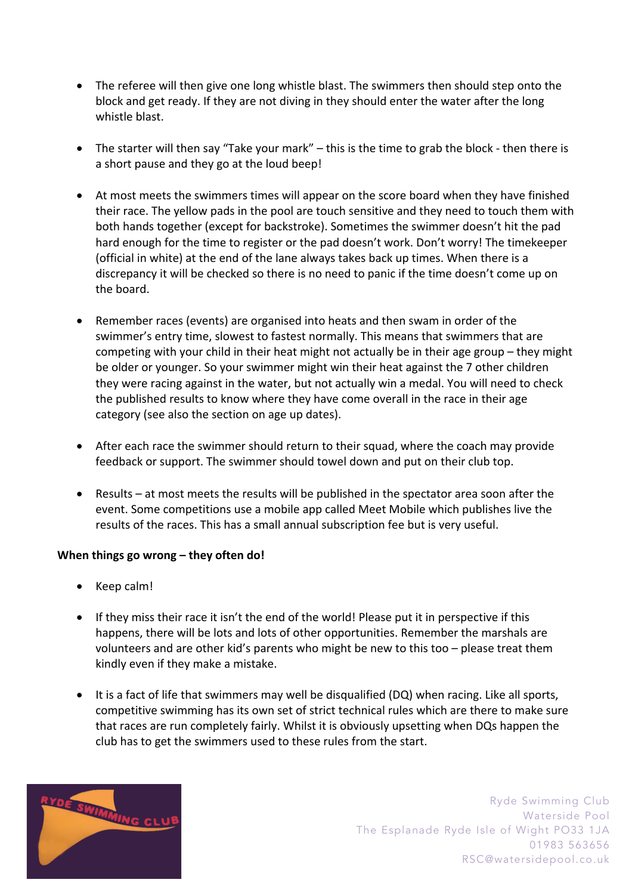- The referee will then give one long whistle blast. The swimmers then should step onto the block and get ready. If they are not diving in they should enter the water after the long whistle blast.
- The starter will then say "Take your mark" this is the time to grab the block then there is a short pause and they go at the loud beep!
- At most meets the swimmers times will appear on the score board when they have finished their race. The yellow pads in the pool are touch sensitive and they need to touch them with both hands together (except for backstroke). Sometimes the swimmer doesn't hit the pad hard enough for the time to register or the pad doesn't work. Don't worry! The timekeeper (official in white) at the end of the lane always takes back up times. When there is a discrepancy it will be checked so there is no need to panic if the time doesn't come up on the board.
- Remember races (events) are organised into heats and then swam in order of the swimmer's entry time, slowest to fastest normally. This means that swimmers that are competing with your child in their heat might not actually be in their age group – they might be older or younger. So your swimmer might win their heat against the 7 other children they were racing against in the water, but not actually win a medal. You will need to check the published results to know where they have come overall in the race in their age category (see also the section on age up dates).
- After each race the swimmer should return to their squad, where the coach may provide feedback or support. The swimmer should towel down and put on their club top.
- Results at most meets the results will be published in the spectator area soon after the event. Some competitions use a mobile app called Meet Mobile which publishes live the results of the races. This has a small annual subscription fee but is very useful.

## **When things go wrong – they often do!**

- Keep calm!
- If they miss their race it isn't the end of the world! Please put it in perspective if this happens, there will be lots and lots of other opportunities. Remember the marshals are volunteers and are other kid's parents who might be new to this too – please treat them kindly even if they make a mistake.
- It is a fact of life that swimmers may well be disqualified (DQ) when racing. Like all sports, competitive swimming has its own set of strict technical rules which are there to make sure that races are run completely fairly. Whilst it is obviously upsetting when DQs happen the club has to get the swimmers used to these rules from the start.